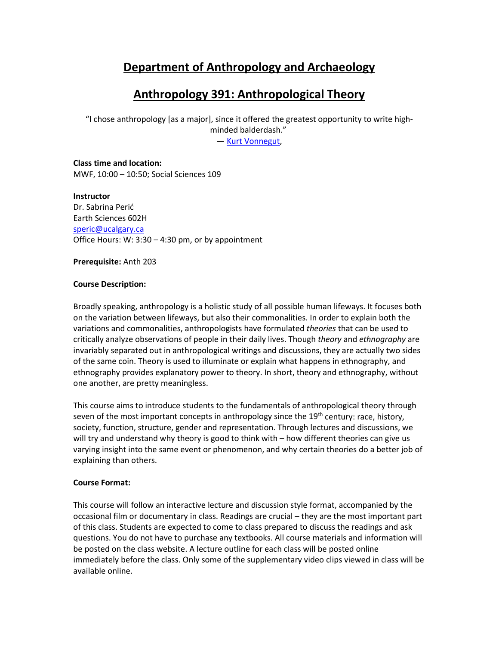# **Department of Anthropology and Archaeology**

# **Anthropology 391: Anthropological Theory**

"I chose anthropology [as a major], since it offered the greatest opportunity to write highminded balderdash." ― [Kurt Vonnegut,](http://www.goodreads.com/author/show/2778055.Kurt_Vonnegut)

**Class time and location:**  MWF, 10:00 – 10:50; Social Sciences 109

**Instructor** Dr. Sabrina Perić Earth Sciences 602H [speric@ucalgary.ca](mailto:speric@ucalgary.ca) Office Hours: W: 3:30 – 4:30 pm, or by appointment

**Prerequisite:** Anth 203

#### **Course Description:**

Broadly speaking, anthropology is a holistic study of all possible human lifeways. It focuses both on the variation between lifeways, but also their commonalities. In order to explain both the variations and commonalities, anthropologists have formulated *theories* that can be used to critically analyze observations of people in their daily lives. Though *theory* and *ethnography* are invariably separated out in anthropological writings and discussions, they are actually two sides of the same coin. Theory is used to illuminate or explain what happens in ethnography, and ethnography provides explanatory power to theory. In short, theory and ethnography, without one another, are pretty meaningless.

This course aims to introduce students to the fundamentals of anthropological theory through seven of the most important concepts in anthropology since the 19<sup>th</sup> century: race, history, society, function, structure, gender and representation. Through lectures and discussions, we will try and understand why theory is good to think with – how different theories can give us varying insight into the same event or phenomenon, and why certain theories do a better job of explaining than others.

#### **Course Format:**

This course will follow an interactive lecture and discussion style format, accompanied by the occasional film or documentary in class. Readings are crucial – they are the most important part of this class. Students are expected to come to class prepared to discuss the readings and ask questions. You do not have to purchase any textbooks. All course materials and information will be posted on the class website. A lecture outline for each class will be posted online immediately before the class. Only some of the supplementary video clips viewed in class will be available online.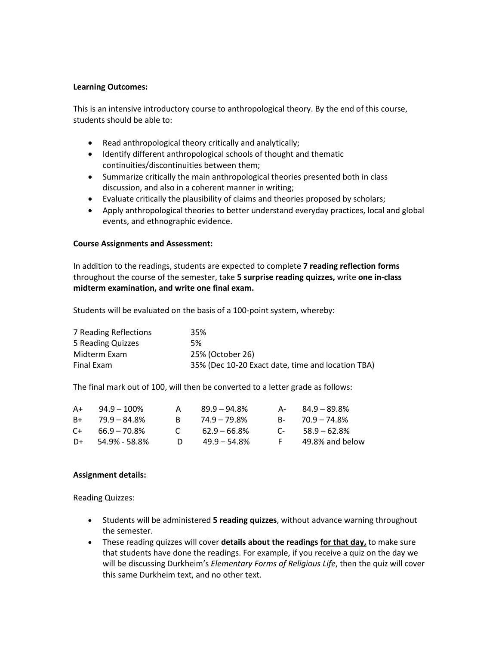#### **Learning Outcomes:**

This is an intensive introductory course to anthropological theory. By the end of this course, students should be able to:

- Read anthropological theory critically and analytically;
- Identify different anthropological schools of thought and thematic continuities/discontinuities between them;
- Summarize critically the main anthropological theories presented both in class discussion, and also in a coherent manner in writing;
- Evaluate critically the plausibility of claims and theories proposed by scholars;
- Apply anthropological theories to better understand everyday practices, local and global events, and ethnographic evidence.

#### **Course Assignments and Assessment:**

In addition to the readings, students are expected to complete **7 reading reflection forms** throughout the course of the semester, take **5 surprise reading quizzes,** write **one in-class midterm examination, and write one final exam.** 

Students will be evaluated on the basis of a 100-point system, whereby:

| 7 Reading Reflections | 35%                                               |
|-----------------------|---------------------------------------------------|
| 5 Reading Quizzes     | 5%                                                |
| Midterm Exam          | 25% (October 26)                                  |
| Final Exam            | 35% (Dec 10-20 Exact date, time and location TBA) |

The final mark out of 100, will then be converted to a letter grade as follows:

| A+    | $94.9 - 100\%$  |              | $89.9 - 94.8\%$ | А-         | 84.9 – 89.8%        |
|-------|-----------------|--------------|-----------------|------------|---------------------|
| $R+$  | 79.9 – 84.8%    | R.           | $74.9 - 79.8\%$ |            | $B - 70.9 - 74.8\%$ |
| $C++$ | $66.9 - 70.8\%$ | $\mathbf{C}$ | $62.9 - 66.8\%$ | $\sqrt{2}$ | $58.9 - 62.8\%$     |
| $D+$  | 54.9% - 58.8%   | D.           | $49.9 - 54.8\%$ | E.         | 49.8% and below     |

#### **Assignment details:**

Reading Quizzes:

- Students will be administered **5 reading quizzes**, without advance warning throughout the semester.
- These reading quizzes will cover **details about the readings for that day,** to make sure that students have done the readings. For example, if you receive a quiz on the day we will be discussing Durkheim's *Elementary Forms of Religious Life*, then the quiz will cover this same Durkheim text, and no other text.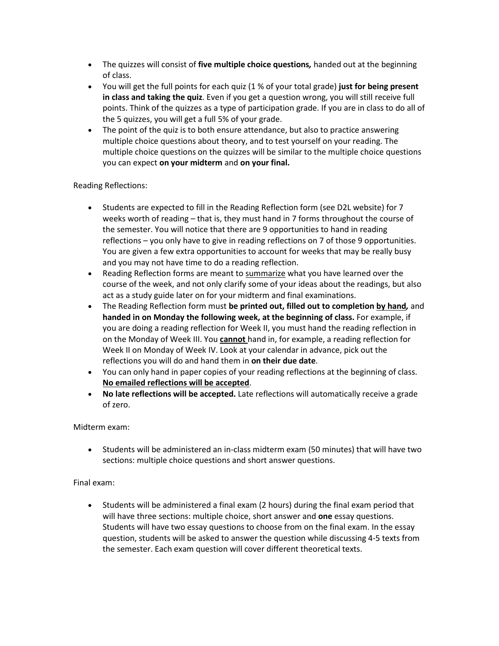- The quizzes will consist of **five multiple choice questions***,* handed out at the beginning of class.
- You will get the full points for each quiz (1 % of your total grade) **just for being present in class and taking the quiz**. Even if you get a question wrong, you will still receive full points. Think of the quizzes as a type of participation grade. If you are in class to do all of the 5 quizzes, you will get a full 5% of your grade.
- The point of the quiz is to both ensure attendance, but also to practice answering multiple choice questions about theory, and to test yourself on your reading. The multiple choice questions on the quizzes will be similar to the multiple choice questions you can expect **on your midterm** and **on your final.**

#### Reading Reflections:

- Students are expected to fill in the Reading Reflection form (see D2L website) for 7 weeks worth of reading – that is, they must hand in 7 forms throughout the course of the semester. You will notice that there are 9 opportunities to hand in reading reflections – you only have to give in reading reflections on 7 of those 9 opportunities. You are given a few extra opportunities to account for weeks that may be really busy and you may not have time to do a reading reflection.
- Reading Reflection forms are meant to summarize what you have learned over the course of the week, and not only clarify some of your ideas about the readings, but also act as a study guide later on for your midterm and final examinations.
- The Reading Reflection form must **be printed out, filled out to completion by hand***,* and **handed in on Monday the following week, at the beginning of class.** For example, if you are doing a reading reflection for Week II, you must hand the reading reflection in on the Monday of Week III. You **cannot** hand in, for example, a reading reflection for Week II on Monday of Week IV. Look at your calendar in advance, pick out the reflections you will do and hand them in **on their due date**.
- You can only hand in paper copies of your reading reflections at the beginning of class. **No emailed reflections will be accepted**.
- **No late reflections will be accepted.** Late reflections will automatically receive a grade of zero.

#### Midterm exam:

• Students will be administered an in-class midterm exam (50 minutes) that will have two sections: multiple choice questions and short answer questions.

#### Final exam:

• Students will be administered a final exam (2 hours) during the final exam period that will have three sections: multiple choice, short answer and **one** essay questions. Students will have two essay questions to choose from on the final exam. In the essay question, students will be asked to answer the question while discussing 4-5 texts from the semester. Each exam question will cover different theoretical texts.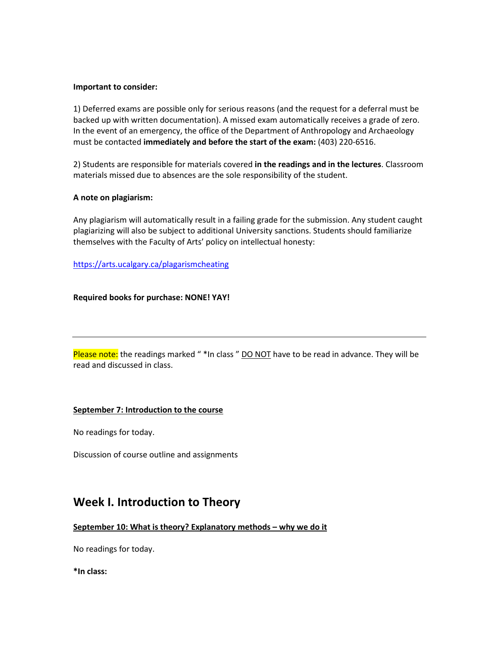#### **Important to consider:**

1) Deferred exams are possible only for serious reasons (and the request for a deferral must be backed up with written documentation). A missed exam automatically receives a grade of zero. In the event of an emergency, the office of the Department of Anthropology and Archaeology must be contacted **immediately and before the start of the exam:** (403) 220-6516.

2) Students are responsible for materials covered **in the readings and in the lectures**. Classroom materials missed due to absences are the sole responsibility of the student.

#### **A note on plagiarism:**

Any plagiarism will automatically result in a failing grade for the submission. Any student caught plagiarizing will also be subject to additional University sanctions. Students should familiarize themselves with the Faculty of Arts' policy on intellectual honesty:

<https://arts.ucalgary.ca/plagarismcheating>

**Required books for purchase: NONE! YAY!**

Please note: the readings marked "\*In class " DO NOT have to be read in advance. They will be read and discussed in class.

#### **September 7: Introduction to the course**

No readings for today.

Discussion of course outline and assignments

## **Week I. Introduction to Theory**

#### **September 10: What is theory? Explanatory methods – why we do it**

No readings for today.

**\*In class:**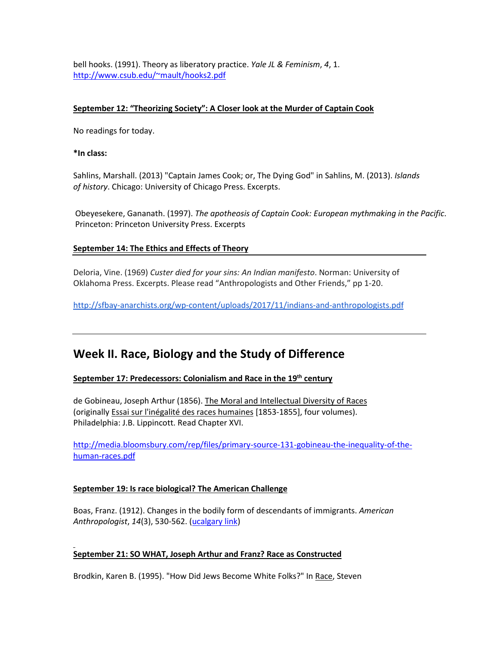bell hooks. (1991). Theory as liberatory practice. *Yale JL & Feminism*, *4*, 1. [http://www.csub.edu/~mault/hooks2.pdf](http://www.csub.edu/%7Emault/hooks2.pdf)

#### **September 12: "Theorizing Society": A Closer look at the Murder of Captain Cook**

No readings for today.

**\*In class:**

Sahlins, Marshall. (2013) "Captain James Cook; or, The Dying God" in Sahlins, M. (2013). *Islands of history*. Chicago: University of Chicago Press. Excerpts.

Obeyesekere, Gananath. (1997). *The apotheosis of Captain Cook: European mythmaking in the Pacific*. Princeton: Princeton University Press. Excerpts

#### **September 14: The Ethics and Effects of Theory**

Deloria, Vine. (1969) *Custer died for your sins: An Indian manifesto*. Norman: University of Oklahoma Press. Excerpts. Please read "Anthropologists and Other Friends," pp 1-20.

<http://sfbay-anarchists.org/wp-content/uploads/2017/11/indians-and-anthropologists.pdf>

## **Week II. Race, Biology and the Study of Difference**

### **September 17: Predecessors: Colonialism and Race in the 19th century**

de Gobineau, Joseph Arthur (1856). The Moral and Intellectual Diversity of Races (originally Essai sur l'inégalité des races humaines [1853-1855], four volumes). Philadelphia: J.B. Lippincott. Read Chapter XVI.

[http://media.bloomsbury.com/rep/files/primary-source-131-gobineau-the-inequality-of-the](http://media.bloomsbury.com/rep/files/primary-source-131-gobineau-the-inequality-of-the-human-races.pdf)[human-races.pdf](http://media.bloomsbury.com/rep/files/primary-source-131-gobineau-the-inequality-of-the-human-races.pdf)

#### **September 19: Is race biological? The American Challenge**

Boas, Franz. (1912). Changes in the bodily form of descendants of immigrants. *American Anthropologist*, *14*(3), 530-562. [\(ucalgary link\)](http://www.jstor.org.ezproxy.lib.ucalgary.ca/stable/pdf/663102.pdf)

#### **September 21: SO WHAT, Joseph Arthur and Franz? Race as Constructed**

Brodkin, Karen B. (1995). "How Did Jews Become White Folks?" In Race, Steven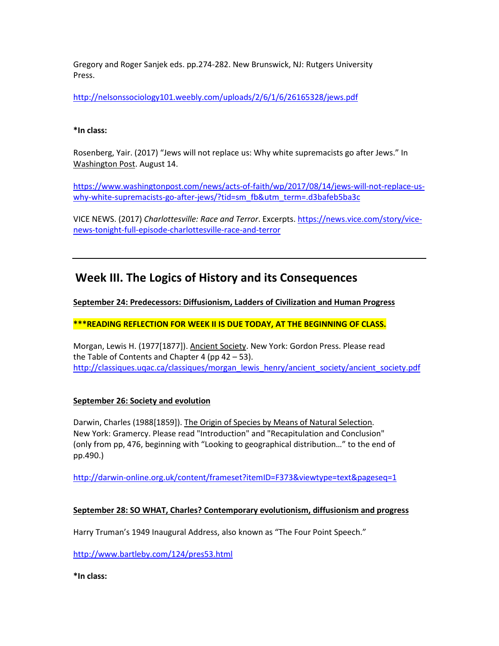Gregory and Roger Sanjek eds. pp.274-282. New Brunswick, NJ: Rutgers University Press.

<http://nelsonssociology101.weebly.com/uploads/2/6/1/6/26165328/jews.pdf>

#### **\*In class:**

Rosenberg, Yair. (2017) "Jews will not replace us: Why white supremacists go after Jews." In Washington Post. August 14.

[https://www.washingtonpost.com/news/acts-of-faith/wp/2017/08/14/jews-will-not-replace-us](https://www.washingtonpost.com/news/acts-of-faith/wp/2017/08/14/jews-will-not-replace-us-why-white-supremacists-go-after-jews/?tid=sm_fb&utm_term=.d3bafeb5ba3c)[why-white-supremacists-go-after-jews/?tid=sm\\_fb&utm\\_term=.d3bafeb5ba3c](https://www.washingtonpost.com/news/acts-of-faith/wp/2017/08/14/jews-will-not-replace-us-why-white-supremacists-go-after-jews/?tid=sm_fb&utm_term=.d3bafeb5ba3c)

VICE NEWS. (2017) *Charlottesville: Race and Terror*. Excerpts. [https://news.vice.com/story/vice](https://news.vice.com/story/vice-news-tonight-full-episode-charlottesville-race-and-terror)[news-tonight-full-episode-charlottesville-race-and-terror](https://news.vice.com/story/vice-news-tonight-full-episode-charlottesville-race-and-terror)

## **Week III. The Logics of History and its Consequences**

**September 24: Predecessors: Diffusionism, Ladders of Civilization and Human Progress**

**\*\*\*READING REFLECTION FOR WEEK II IS DUE TODAY, AT THE BEGINNING OF CLASS.**

Morgan, Lewis H. (1977[1877]). Ancient Society. New York: Gordon Press. Please read the Table of Contents and Chapter 4 (pp  $42 - 53$ ). [http://classiques.uqac.ca/classiques/morgan\\_lewis\\_henry/ancient\\_society/ancient\\_society.pdf](http://classiques.uqac.ca/classiques/morgan_lewis_henry/ancient_society/ancient_society.pdf)

### **September 26: Society and evolution**

Darwin, Charles (1988[1859]). The Origin of Species by Means of Natural Selection. New York: Gramercy. Please read "Introduction" and "Recapitulation and Conclusion" (only from pp, 476, beginning with "Looking to geographical distribution…" to the end of pp.490.)

<http://darwin-online.org.uk/content/frameset?itemID=F373&viewtype=text&pageseq=1>

### **September 28: SO WHAT, Charles? Contemporary evolutionism, diffusionism and progress**

Harry Truman's 1949 Inaugural Address, also known as "The Four Point Speech."

<http://www.bartleby.com/124/pres53.html>

**\*In class:**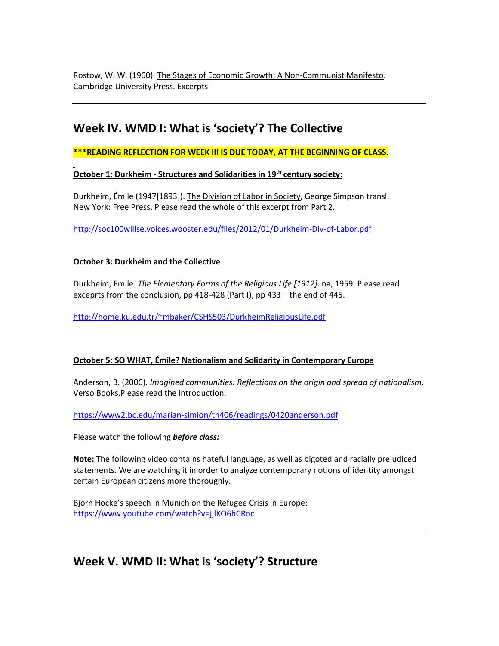Rostow, W. W. (1960). The Stages of Economic Growth: A Non-Communist Manifesto. Cambridge University Press. Excerpts

# **Week IV. WMD I: What is 'society'? The Collective**

**\*\*\*READING REFLECTION FOR WEEK III IS DUE TODAY, AT THE BEGINNING OF CLASS.**

**October 1: Durkheim - Structures and Solidarities in 19th century society:**

Durkheim, Émile (1947[1893]). The Division of Labor in Society, George Simpson transl. New York: Free Press. Please read the whole of this excerpt from Part 2.

<http://soc100willse.voices.wooster.edu/files/2012/01/Durkheim-Div-of-Labor.pdf>

#### **October 3: Durkheim and the Collective**

Durkheim, Emile. *The Elementary Forms of the Religious Life [1912]*. na, 1959. Please read exceprts from the conclusion, pp 418-428 (Part I), pp 433 – the end of 445.

[http://home.ku.edu.tr/~mbaker/CSHS503/DurkheimReligiousLife.pdf](http://home.ku.edu.tr/%7Embaker/CSHS503/DurkheimReligiousLife.pdf)

### **October 5: SO WHAT, Émile? Nationalism and Solidarity in Contemporary Europe**

Anderson, B. (2006). *Imagined communities: Reflections on the origin and spread of nationalism*. Verso Books.Please read the introduction.

<https://www2.bc.edu/marian-simion/th406/readings/0420anderson.pdf>

Please watch the following *before class:*

**Note:** The following video contains hateful language, as well as bigoted and racially prejudiced statements. We are watching it in order to analyze contemporary notions of identity amongst certain European citizens more thoroughly.

Bjorn Hocke's speech in Munich on the Refugee Crisis in Europe: <https://www.youtube.com/watch?v=jjlKO6hCRoc>

# **Week V. WMD II: What is 'society'? Structure**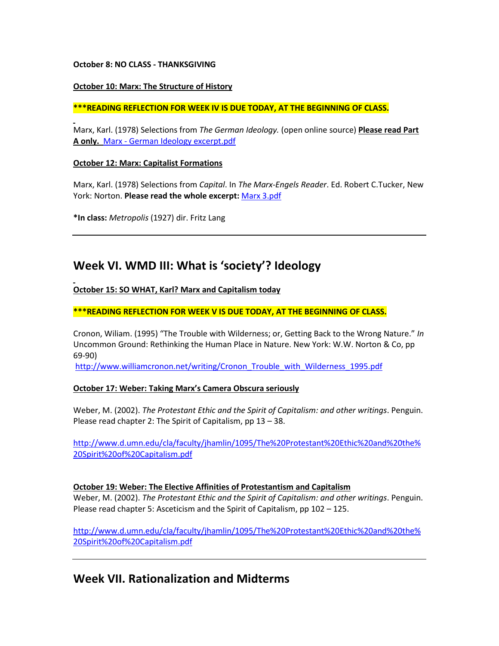#### **October 8: NO CLASS - THANKSGIVING**

#### **October 10: Marx: The Structure of History**

#### **\*\*\*READING REFLECTION FOR WEEK IV IS DUE TODAY, AT THE BEGINNING OF CLASS.**

Marx, Karl. (1978) Selections from *The German Ideology.* (open online source) **Please read Part A only.** Marx - German Ideology excerpt.pdf

#### **October 12: Marx: Capitalist Formations**

Marx, Karl. (1978) Selections from *Capital*. In *The Marx-Engels Reader*. Ed. Robert C.Tucker, New York: Norton. **Please read the whole excerpt:** Marx 3.pdf

**\*In class:** *Metropolis* (1927) dir. Fritz Lang

# **Week VI. WMD III: What is 'society'? Ideology**

#### **October 15: SO WHAT, Karl? Marx and Capitalism today**

#### **\*\*\*READING REFLECTION FOR WEEK V IS DUE TODAY, AT THE BEGINNING OF CLASS.**

Cronon, Wiliam. (1995) "The Trouble with Wilderness; or, Getting Back to the Wrong Nature." *In* Uncommon Ground: Rethinking the Human Place in Nature. New York: W.W. Norton & Co, pp 69-90)

[http://www.williamcronon.net/writing/Cronon\\_Trouble\\_with\\_Wilderness\\_1995.pdf](http://www.williamcronon.net/writing/Cronon_Trouble_with_Wilderness_1995.pdf)

#### **October 17: Weber: Taking Marx's Camera Obscura seriously**

Weber, M. (2002). *The Protestant Ethic and the Spirit of Capitalism: and other writings*. Penguin. Please read chapter 2: The Spirit of Capitalism, pp 13 – 38.

[http://www.d.umn.edu/cla/faculty/jhamlin/1095/The%20Protestant%20Ethic%20and%20the%](http://www.d.umn.edu/cla/faculty/jhamlin/1095/The%20Protestant%20Ethic%20and%20the%20Spirit%20of%20Capitalism.pdf) [20Spirit%20of%20Capitalism.pdf](http://www.d.umn.edu/cla/faculty/jhamlin/1095/The%20Protestant%20Ethic%20and%20the%20Spirit%20of%20Capitalism.pdf)

#### **October 19: Weber: The Elective Affinities of Protestantism and Capitalism**

Weber, M. (2002). *The Protestant Ethic and the Spirit of Capitalism: and other writings*. Penguin. Please read chapter 5: Asceticism and the Spirit of Capitalism, pp 102 – 125.

[http://www.d.umn.edu/cla/faculty/jhamlin/1095/The%20Protestant%20Ethic%20and%20the%](http://www.d.umn.edu/cla/faculty/jhamlin/1095/The%20Protestant%20Ethic%20and%20the%20Spirit%20of%20Capitalism.pdf) [20Spirit%20of%20Capitalism.pdf](http://www.d.umn.edu/cla/faculty/jhamlin/1095/The%20Protestant%20Ethic%20and%20the%20Spirit%20of%20Capitalism.pdf)

## **Week VII. Rationalization and Midterms**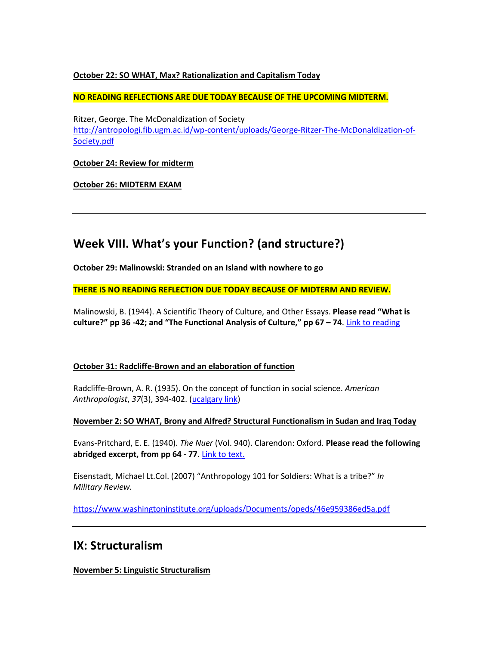#### **October 22: SO WHAT, Max? Rationalization and Capitalism Today**

**NO READING REFLECTIONS ARE DUE TODAY BECAUSE OF THE UPCOMING MIDTERM.**

Ritzer, George. The McDonaldization of Society [http://antropologi.fib.ugm.ac.id/wp-content/uploads/George-Ritzer-The-McDonaldization-of-](http://antropologi.fib.ugm.ac.id/wp-content/uploads/George-Ritzer-The-McDonaldization-of-Society.pdf)[Society.pdf](http://antropologi.fib.ugm.ac.id/wp-content/uploads/George-Ritzer-The-McDonaldization-of-Society.pdf)

**October 24: Review for midterm**

**October 26: MIDTERM EXAM**

## **Week VIII. What's your Function? (and structure?)**

**October 29: Malinowski: Stranded on an Island with nowhere to go**

**THERE IS NO READING REFLECTION DUE TODAY BECAUSE OF MIDTERM AND REVIEW.**

Malinowski, B. (1944). A Scientific Theory of Culture, and Other Essays. **Please read "What is culture?" pp 36 -42; and "The Functional Analysis of Culture," pp 67 – 74**. [Link to reading](https://monoskop.org/images/f/f5/Malinowski_Bronislaw_A_Scientific_Theory_of_Culture_and_Other_Essays_1961.pdf)

#### **October 31: Radcliffe-Brown and an elaboration of function**

Radcliffe-Brown, A. R. (1935). On the concept of function in social science. *American Anthropologist*, *37*(3), 394-402. [\(ucalgary link\)](http://www.jstor.org.ezproxy.lib.ucalgary.ca/stable/pdf/661962.pdf)

#### **November 2: SO WHAT, Brony and Alfred? Structural Functionalism in Sudan and Iraq Today**

Evans-Pritchard, E. E. (1940). *The Nuer* (Vol. 940). Clarendon: Oxford. **Please read the following abridged excerpt, from pp 64 - 77**. [Link to text.](https://www.uio.no/studier/emner/sv/sai/SOSANT1000/h14/pensumliste/evans-pritchard_the_nuer.pdf)

Eisenstadt, Michael Lt.Col. (2007) "Anthropology 101 for Soldiers: What is a tribe?" *In Military Review.* 

<https://www.washingtoninstitute.org/uploads/Documents/opeds/46e959386ed5a.pdf>

## **IX: Structuralism**

**November 5: Linguistic Structuralism**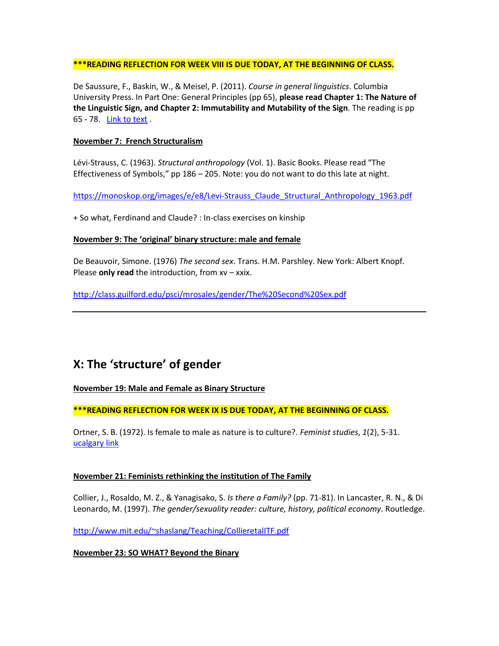#### **\*\*\*READING REFLECTION FOR WEEK VIII IS DUE TODAY, AT THE BEGINNING OF CLASS.**

De Saussure, F., Baskin, W., & Meisel, P. (2011). *Course in general linguistics*. Columbia University Press. In Part One: General Principles (pp 65), **please read Chapter 1: The Nature of the Linguistic Sign, and Chapter 2: Immutability and Mutability of the Sign**. The reading is pp 65 - 78. [Link to text](http://home.wlu.edu/%7Elevys/courses/anth252f2006/saussure.pdf) .

#### **November 7: French Structuralism**

Lévi-Strauss, C. (1963). *Structural anthropology* (Vol. 1). Basic Books. Please read "The Effectiveness of Symbols," pp 186 – 205. Note: you do not want to do this late at night.

[https://monoskop.org/images/e/e8/Levi-Strauss\\_Claude\\_Structural\\_Anthropology\\_1963.pdf](https://monoskop.org/images/e/e8/Levi-Strauss_Claude_Structural_Anthropology_1963.pdf)

+ So what, Ferdinand and Claude? : In-class exercises on kinship

#### **November 9: The 'original' binary structure: male and female**

De Beauvoir, Simone. (1976) *The second sex*. Trans. H.M. Parshley. New York: Albert Knopf. Please **only read** the introduction, from xv – xxix.

<http://class.guilford.edu/psci/mrosales/gender/The%20Second%20Sex.pdf>

# **X: The 'structure' of gender**

#### **November 19: Male and Female as Binary Structure**

**\*\*\*READING REFLECTION FOR WEEK IX IS DUE TODAY, AT THE BEGINNING OF CLASS.**

Ortner, S. B. (1972). Is female to male as nature is to culture?. *Feminist studies*, *1*(2), 5-31. [ucalgary link](http://classes.uleth.ca/201001/anth1000a/women%20culture.pdf)

#### **November 21: Feminists rethinking the institution of The Family**

Collier, J., Rosaldo, M. Z., & Yanagisako, S. *Is there a Family?* (pp. 71-81). In Lancaster, R. N., & Di Leonardo, M. (1997). *The gender/sexuality reader: culture, history, political economy*. Routledge.

[http://www.mit.edu/~shaslang/Teaching/CollieretalITF.pdf](http://www.mit.edu/%7Eshaslang/Teaching/CollieretalITF.pdf)

#### **November 23: SO WHAT? Beyond the Binary**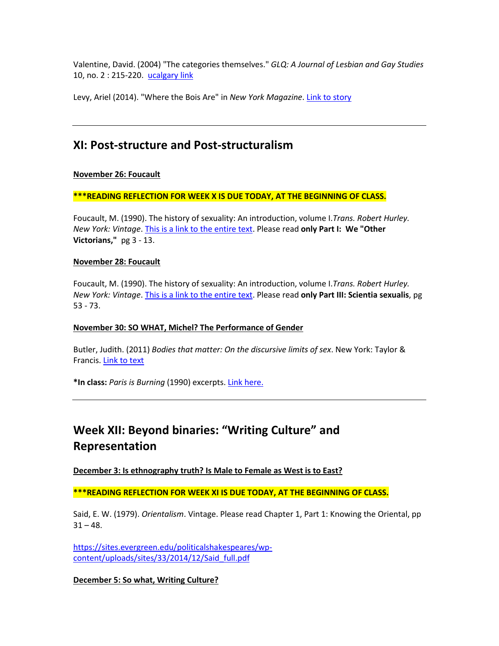Valentine, David. (2004) "The categories themselves." *GLQ: A Journal of Lesbian and Gay Studies* 10, no. 2 : 215-220. [ucalgary link](http://sites.middlebury.edu/soan191/files/2013/08/valentinecategories.pdf)

Levy, Ariel (2014). "Where the Bois Are" in *New York Magazine*. [Link to story](http://nymag.com/nymetro/news/features/n_9709/)

## **XI: Post-structure and Post-structuralism**

#### **November 26: Foucault**

**\*\*\*READING REFLECTION FOR WEEK X IS DUE TODAY, AT THE BEGINNING OF CLASS.**

Foucault, M. (1990). The history of sexuality: An introduction, volume I.*Trans. Robert Hurley. New York: Vintage*. [This is a link to the entire text.](https://suplaney.files.wordpress.com/2010/09/foucault-the-history-of-sexuality-volume-1.pdf) Please read **only Part I: We "Other Victorians,"** pg 3 - 13.

#### **November 28: Foucault**

Foucault, M. (1990). The history of sexuality: An introduction, volume I.*Trans. Robert Hurley. New York: Vintage*. [This is a link to the entire text.](https://suplaney.files.wordpress.com/2010/09/foucault-the-history-of-sexuality-volume-1.pdf) Please read **only Part III: Scientia sexualis**, pg 53 - 73.

#### **November 30: SO WHAT, Michel? The Performance of Gender**

Butler, Judith. (2011) *Bodies that matter: On the discursive limits of sex*. New York: Taylor & Francis. [Link to text](https://www2.warwick.ac.uk/fac/arts/english/currentstudents/pg/masters/modules/femlit/bodies-that-matter.pdf)

**\*In class:** *Paris is Burning* (1990) excerpts[. Link here.](https://www.youtube.com/watch?v=hedJer7I1vI)

# **Week XII: Beyond binaries: "Writing Culture" and Representation**

**December 3: Is ethnography truth? Is Male to Female as West is to East?**

**\*\*\*READING REFLECTION FOR WEEK XI IS DUE TODAY, AT THE BEGINNING OF CLASS.**

Said, E. W. (1979). *Orientalism*. Vintage. Please read Chapter 1, Part 1: Knowing the Oriental, pp  $31 - 48.$ 

[https://sites.evergreen.edu/politicalshakespeares/wp](https://sites.evergreen.edu/politicalshakespeares/wp-content/uploads/sites/33/2014/12/Said_full.pdf)[content/uploads/sites/33/2014/12/Said\\_full.pdf](https://sites.evergreen.edu/politicalshakespeares/wp-content/uploads/sites/33/2014/12/Said_full.pdf)

**December 5: So what, Writing Culture?**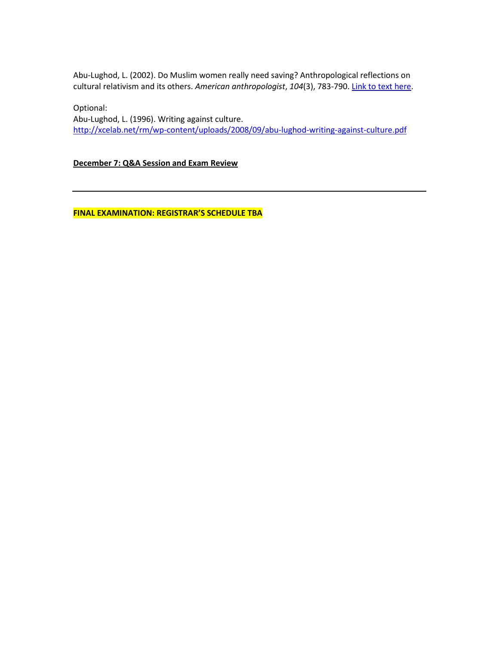Abu-Lughod, L. (2002). Do Muslim women really need saving? Anthropological reflections on cultural relativism and its others. *American anthropologist*, *104*(3), 783-790[. Link to text here.](http://org.uib.no/smi/seminars/Pensum/Abu-Lughod.pdf)

Optional: Abu-Lughod, L. (1996). Writing against culture. <http://xcelab.net/rm/wp-content/uploads/2008/09/abu-lughod-writing-against-culture.pdf>

**December 7: Q&A Session and Exam Review**

**FINAL EXAMINATION: REGISTRAR'S SCHEDULE TBA**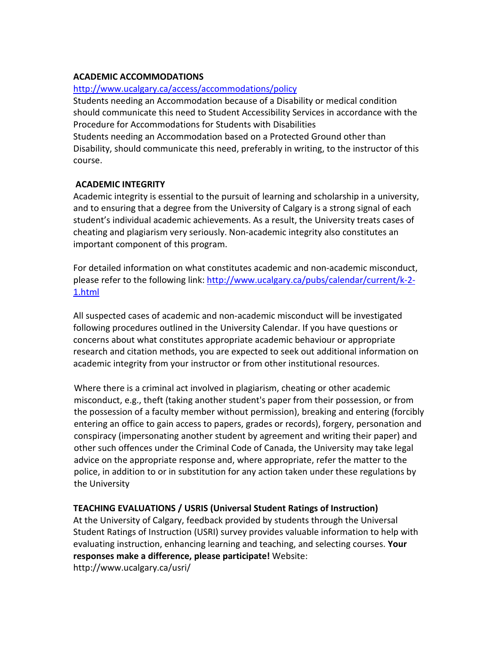## **ACADEMIC ACCOMMODATIONS**

## <http://www.ucalgary.ca/access/accommodations/policy>

Students needing an Accommodation because of a Disability or medical condition should communicate this need to Student Accessibility Services in accordance with the Procedure for Accommodations for Students with Disabilities Students needing an Accommodation based on a Protected Ground other than Disability, should communicate this need, preferably in writing, to the instructor of this course.

## **ACADEMIC INTEGRITY**

Academic integrity is essential to the pursuit of learning and scholarship in a university, and to ensuring that a degree from the University of Calgary is a strong signal of each student's individual academic achievements. As a result, the University treats cases of cheating and plagiarism very seriously. Non-academic integrity also constitutes an important component of this program.

For detailed information on what constitutes academic and non-academic misconduct, please refer to the following link: [http://www.ucalgary.ca/pubs/calendar/current/k-2-](http://www.ucalgary.ca/pubs/calendar/current/k-2-1.html) [1.html](http://www.ucalgary.ca/pubs/calendar/current/k-2-1.html)

All suspected cases of academic and non-academic misconduct will be investigated following procedures outlined in the University Calendar. If you have questions or concerns about what constitutes appropriate academic behaviour or appropriate research and citation methods, you are expected to seek out additional information on academic integrity from your instructor or from other institutional resources.

Where there is a criminal act involved in plagiarism, cheating or other academic misconduct, e.g., theft (taking another student's paper from their possession, or from the possession of a faculty member without permission), breaking and entering (forcibly entering an office to gain access to papers, grades or records), forgery, personation and conspiracy (impersonating another student by agreement and writing their paper) and other such offences under the Criminal Code of Canada, the University may take legal advice on the appropriate response and, where appropriate, refer the matter to the police, in addition to or in substitution for any action taken under these regulations by the University

## **TEACHING EVALUATIONS / USRIS (Universal Student Ratings of Instruction)**

At the University of Calgary, feedback provided by students through the Universal Student Ratings of Instruction (USRI) survey provides valuable information to help with evaluating instruction, enhancing learning and teaching, and selecting courses. **Your responses make a difference, please participate!** Website: http://www.ucalgary.ca/usri/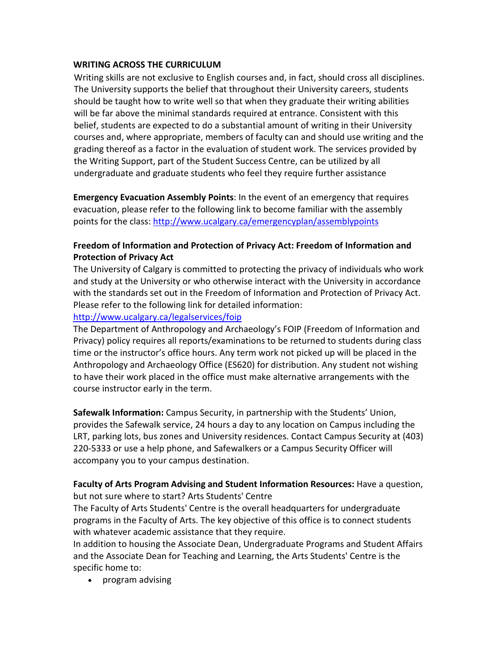## **WRITING ACROSS THE CURRICULUM**

Writing skills are not exclusive to English courses and, in fact, should cross all disciplines. The University supports the belief that throughout their University careers, students should be taught how to write well so that when they graduate their writing abilities will be far above the minimal standards required at entrance. Consistent with this belief, students are expected to do a substantial amount of writing in their University courses and, where appropriate, members of faculty can and should use writing and the grading thereof as a factor in the evaluation of student work. The services provided by the Writing Support, part of the Student Success Centre, can be utilized by all undergraduate and graduate students who feel they require further assistance

**Emergency Evacuation Assembly Points**: In the event of an emergency that requires evacuation, please refer to the following link to become familiar with the assembly points for the class:<http://www.ucalgary.ca/emergencyplan/assemblypoints>

## **Freedom of Information and Protection of Privacy Act: Freedom of Information and Protection of Privacy Act**

The University of Calgary is committed to protecting the privacy of individuals who work and study at the University or who otherwise interact with the University in accordance with the standards set out in the Freedom of Information and Protection of Privacy Act. Please refer to the following link for detailed information:

<http://www.ucalgary.ca/legalservices/foip>

The Department of Anthropology and Archaeology's FOIP (Freedom of Information and Privacy) policy requires all reports/examinations to be returned to students during class time or the instructor's office hours. Any term work not picked up will be placed in the Anthropology and Archaeology Office (ES620) for distribution. Any student not wishing to have their work placed in the office must make alternative arrangements with the course instructor early in the term.

**Safewalk Information:** Campus Security, in partnership with the Students' Union, provides the Safewalk service, 24 hours a day to any location on Campus including the LRT, parking lots, bus zones and University residences. Contact Campus Security at (403) 220-5333 or use a help phone, and Safewalkers or a Campus Security Officer will accompany you to your campus destination.

### **Faculty of Arts Program Advising and Student Information Resources:** Have a question, but not sure where to start? Arts Students' Centre

The Faculty of Arts Students' Centre is the overall headquarters for undergraduate programs in the Faculty of Arts. The key objective of this office is to connect students with whatever academic assistance that they require.

In addition to housing the Associate Dean, Undergraduate Programs and Student Affairs and the Associate Dean for Teaching and Learning, the Arts Students' Centre is the specific home to:

• program advising